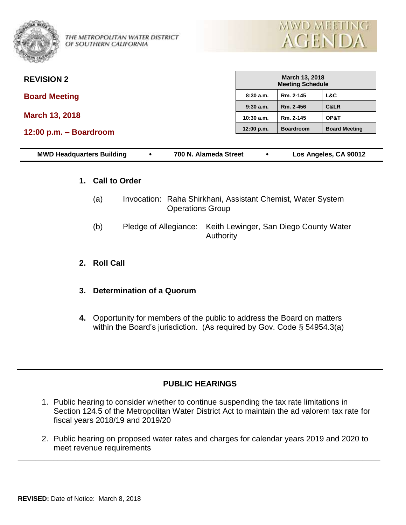

THE METROPOLITAN WATER DISTRICT OF SOUTHERN CALIFORNIA



| <b>REVISION 2</b>      | <b>March 13, 2018</b><br><b>Meeting Schedule</b> |                  |                      |  |
|------------------------|--------------------------------------------------|------------------|----------------------|--|
| <b>Board Meeting</b>   | 8:30a.m.                                         | Rm. 2-145        | L&C                  |  |
|                        | $9:30$ a.m.                                      | Rm. 2-456        | C&LR                 |  |
| <b>March 13, 2018</b>  | $10:30$ a.m.                                     | Rm. 2-145        | OP&T                 |  |
| 12:00 p.m. - Boardroom | 12:00 p.m.                                       | <b>Boardroom</b> | <b>Board Meeting</b> |  |
|                        |                                                  |                  |                      |  |

| <b>MWD Headquarters Building</b> | 700 N. Alameda Street | Los Angeles, CA 90012 |
|----------------------------------|-----------------------|-----------------------|
|                                  |                       |                       |

#### **1. Call to Order**

- (a) Invocation: Raha Shirkhani, Assistant Chemist, Water System Operations Group
- (b) Pledge of Allegiance: Keith Lewinger, San Diego County Water Authority
- **2. Roll Call**
- **3. Determination of a Quorum**
- **4.** Opportunity for members of the public to address the Board on matters within the Board's jurisdiction. (As required by Gov. Code § 54954.3(a)

## **PUBLIC HEARINGS**

- 1. Public hearing to consider whether to continue suspending the tax rate limitations in Section 124.5 of the Metropolitan Water District Act to maintain the ad valorem tax rate for fiscal years 2018/19 and 2019/20
- 2. Public hearing on proposed water rates and charges for calendar years 2019 and 2020 to meet revenue requirements

\_\_\_\_\_\_\_\_\_\_\_\_\_\_\_\_\_\_\_\_\_\_\_\_\_\_\_\_\_\_\_\_\_\_\_\_\_\_\_\_\_\_\_\_\_\_\_\_\_\_\_\_\_\_\_\_\_\_\_\_\_\_\_\_\_\_\_\_\_\_\_\_\_\_\_\_\_\_\_\_\_\_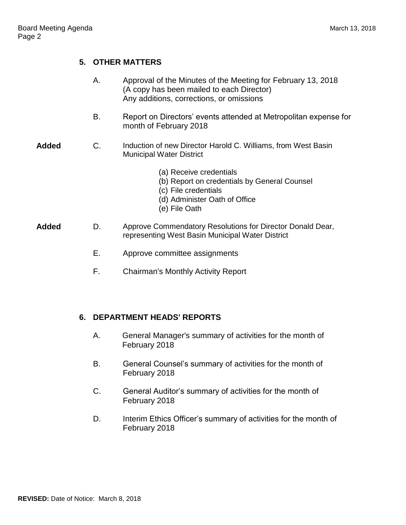# **5. OTHER MATTERS**

|              | Α. | Approval of the Minutes of the Meeting for February 13, 2018<br>(A copy has been mailed to each Director)<br>Any additions, corrections, or omissions |
|--------------|----|-------------------------------------------------------------------------------------------------------------------------------------------------------|
|              | В. | Report on Directors' events attended at Metropolitan expense for<br>month of February 2018                                                            |
| <b>Added</b> | C. | Induction of new Director Harold C. Williams, from West Basin<br><b>Municipal Water District</b>                                                      |
|              |    | (a) Receive credentials<br>(b) Report on credentials by General Counsel<br>(c) File credentials<br>(d) Administer Oath of Office<br>(e) File Oath     |
| <b>Added</b> | D. | Approve Commendatory Resolutions for Director Donald Dear,<br>representing West Basin Municipal Water District                                        |
|              | Е. | Approve committee assignments                                                                                                                         |
|              | F. | <b>Chairman's Monthly Activity Report</b>                                                                                                             |
|              |    |                                                                                                                                                       |

## **6. DEPARTMENT HEADS' REPORTS**

- A. General Manager's summary of activities for the month of February 2018
- B. General Counsel's summary of activities for the month of February 2018
- C. General Auditor's summary of activities for the month of February 2018
- D. Interim Ethics Officer's summary of activities for the month of February 2018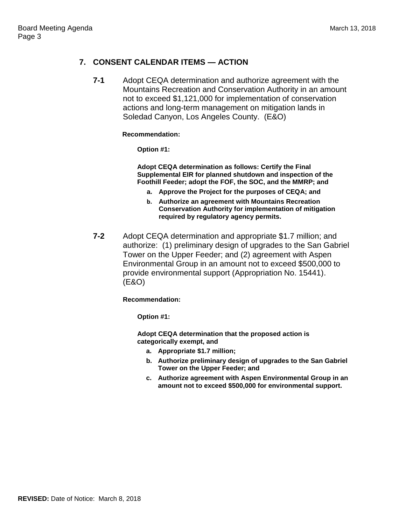### **7. CONSENT CALENDAR ITEMS — ACTION**

**7-1** Adopt CEQA determination and authorize agreement with the Mountains Recreation and Conservation Authority in an amount not to exceed \$1,121,000 for implementation of conservation actions and long-term management on mitigation lands in Soledad Canyon, Los Angeles County. (E&O)

#### **Recommendation:**

**Option #1:**

**Adopt CEQA determination as follows: Certify the Final Supplemental EIR for planned shutdown and inspection of the Foothill Feeder; adopt the FOF, the SOC, and the MMRP; and** 

- **a. Approve the Project for the purposes of CEQA; and**
- **b. Authorize an agreement with Mountains Recreation Conservation Authority for implementation of mitigation required by regulatory agency permits.**
- **7-2** Adopt CEQA determination and appropriate \$1.7 million; and authorize: (1) preliminary design of upgrades to the San Gabriel Tower on the Upper Feeder; and (2) agreement with Aspen Environmental Group in an amount not to exceed \$500,000 to provide environmental support (Appropriation No. 15441). (E&O)

**Recommendation:**

**Option #1:**

**Adopt CEQA determination that the proposed action is categorically exempt, and**

- **a. Appropriate \$1.7 million;**
- **b. Authorize preliminary design of upgrades to the San Gabriel Tower on the Upper Feeder; and**
- **c. Authorize agreement with Aspen Environmental Group in an amount not to exceed \$500,000 for environmental support.**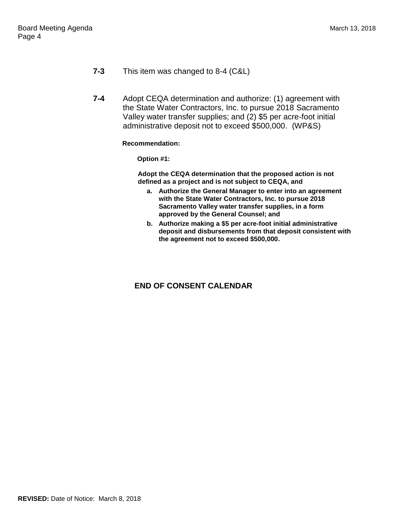- **7-3** This item was changed to 8-4 (C&L)
- **7-4** Adopt CEQA determination and authorize: (1) agreement with the State Water Contractors, Inc. to pursue 2018 Sacramento Valley water transfer supplies; and (2) \$5 per acre-foot initial administrative deposit not to exceed \$500,000. (WP&S)

#### **Recommendation:**

**Option #1:**

**Adopt the CEQA determination that the proposed action is not defined as a project and is not subject to CEQA, and** 

- **a. Authorize the General Manager to enter into an agreement with the State Water Contractors, Inc. to pursue 2018 Sacramento Valley water transfer supplies, in a form approved by the General Counsel; and**
- **b. Authorize making a \$5 per acre-foot initial administrative deposit and disbursements from that deposit consistent with the agreement not to exceed \$500,000.**

## **END OF CONSENT CALENDAR**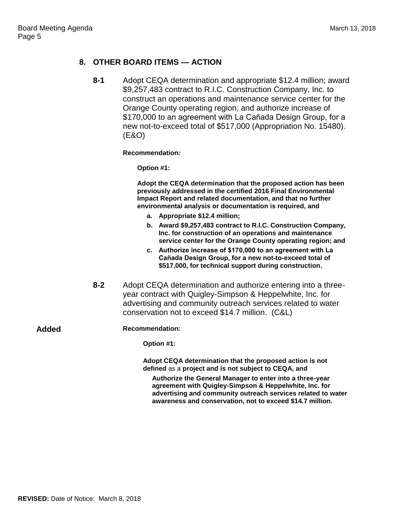#### **8. OTHER BOARD ITEMS — ACTION**

**8-1** Adopt CEQA determination and appropriate \$12.4 million; award \$9,257,483 contract to R.I.C. Construction Company, Inc. to construct an operations and maintenance service center for the Orange County operating region; and authorize increase of \$170,000 to an agreement with La Cañada Design Group, for a new not-to-exceed total of \$517,000 (Appropriation No. 15480). (E&O)

**Recommendation:**

**Option #1:**

**Adopt the CEQA determination that the proposed action has been previously addressed in the certified 2016 Final Environmental Impact Report and related documentation, and that no further environmental analysis or documentation is required, and**

- **a. Appropriate \$12.4 million;**
- **b. Award \$9,257,483 contract to R.I.C. Construction Company, Inc. for construction of an operations and maintenance service center for the Orange County operating region; and**
- **c. Authorize increase of \$170,000 to an agreement with La Can͂ ada Design Group, for a new not-to-exceed total of \$517,000, for technical support during construction.**
- **8-2** Adopt CEQA determination and authorize entering into a threeyear contract with Quigley-Simpson & Heppelwhite, Inc. for advertising and community outreach services related to water conservation not to exceed \$14.7 million. (C&L)

**Added Recommendation:**

**Option #1:**

**Adopt CEQA determination that the proposed action is not defined** as a **project and is not subject to CEQA, and**

**Authorize the General Manager to enter into a three-year agreement with Quigley-Simpson & Heppelwhite, Inc. for advertising and community outreach services related to water awareness and conservation, not to exceed \$14.7 million.**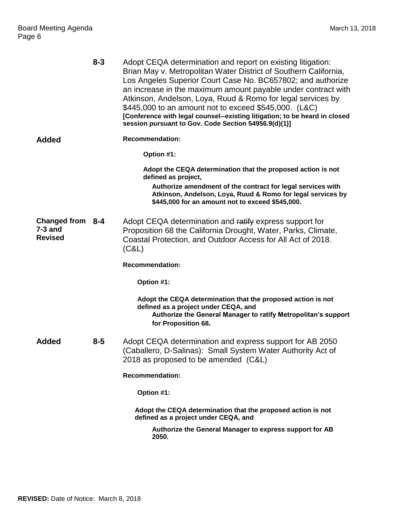|                                                 | $8 - 3$ | Adopt CEQA determination and report on existing litigation:<br>Brian May v. Metropolitan Water District of Southern California,<br>Los Angeles Superior Court Case No. BC657802; and authorize<br>an increase in the maximum amount payable under contract with<br>Atkinson, Andelson, Loya, Ruud & Romo for legal services by<br>\$445,000 to an amount not to exceed \$545,000. (L&C)<br>[Conference with legal counsel--existing litigation; to be heard in closed<br>session pursuant to Gov. Code Section 54956.9(d)(1)] |
|-------------------------------------------------|---------|-------------------------------------------------------------------------------------------------------------------------------------------------------------------------------------------------------------------------------------------------------------------------------------------------------------------------------------------------------------------------------------------------------------------------------------------------------------------------------------------------------------------------------|
| <b>Added</b>                                    |         | <b>Recommendation:</b>                                                                                                                                                                                                                                                                                                                                                                                                                                                                                                        |
|                                                 |         | Option #1:                                                                                                                                                                                                                                                                                                                                                                                                                                                                                                                    |
|                                                 |         | Adopt the CEQA determination that the proposed action is not<br>defined as project,                                                                                                                                                                                                                                                                                                                                                                                                                                           |
|                                                 |         | Authorize amendment of the contract for legal services with<br>Atkinson, Andelson, Loya, Ruud & Romo for legal services by<br>\$445,000 for an amount not to exceed \$545,000.                                                                                                                                                                                                                                                                                                                                                |
| Changed from 8-4<br>$7-3$ and<br><b>Revised</b> |         | Adopt CEQA determination and ratify express support for<br>Proposition 68 the California Drought, Water, Parks, Climate,<br>Coastal Protection, and Outdoor Access for All Act of 2018.<br>(C&L)                                                                                                                                                                                                                                                                                                                              |
|                                                 |         | <b>Recommendation:</b>                                                                                                                                                                                                                                                                                                                                                                                                                                                                                                        |
|                                                 |         | Option #1:                                                                                                                                                                                                                                                                                                                                                                                                                                                                                                                    |
|                                                 |         | Adopt the CEQA determination that the proposed action is not<br>defined as a project under CEQA, and<br>Authorize the General Manager to ratify Metropolitan's support<br>for Proposition 68.                                                                                                                                                                                                                                                                                                                                 |
| <b>Added</b>                                    | $8 - 5$ | Adopt CEQA determination and express support for AB 2050<br>(Caballero, D-Salinas): Small System Water Authority Act of<br>2018 as proposed to be amended (C&L)                                                                                                                                                                                                                                                                                                                                                               |
|                                                 |         | <b>Recommendation:</b>                                                                                                                                                                                                                                                                                                                                                                                                                                                                                                        |
|                                                 |         | Option #1:                                                                                                                                                                                                                                                                                                                                                                                                                                                                                                                    |
|                                                 |         | Adopt the CEQA determination that the proposed action is not<br>defined as a project under CEQA, and                                                                                                                                                                                                                                                                                                                                                                                                                          |
|                                                 |         | Authorize the General Manager to express support for AB<br>2050.                                                                                                                                                                                                                                                                                                                                                                                                                                                              |